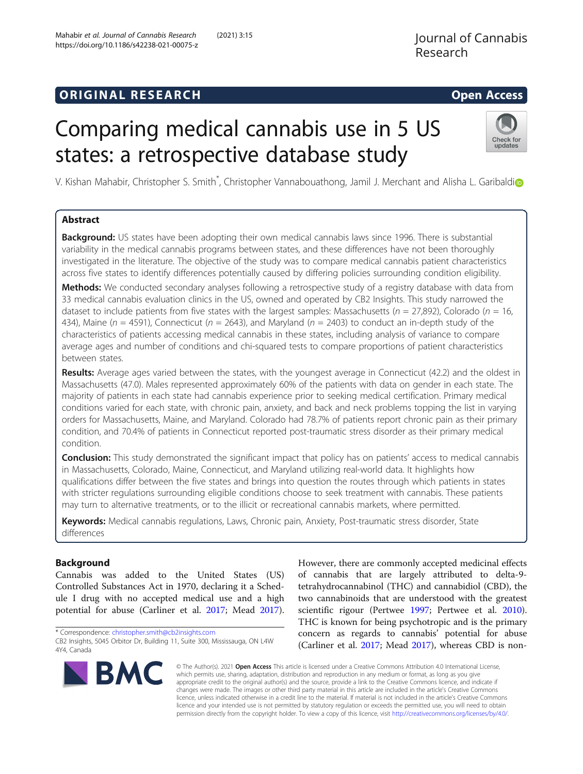# **ORIGINAL RESEARCH CONSERVERS AND ACCESS**

# Comparing medical cannabis use in 5 US states: a retrospective database study

V. K[i](http://orcid.org/0000-0001-6332-7754)shan Mahabir, Christopher S. Smith<sup>\*</sup>, Christopher Vannabouathong, Jamil J. Merchant and Alisha L. Garibaldi

# Abstract

**Background:** US states have been adopting their own medical cannabis laws since 1996. There is substantial variability in the medical cannabis programs between states, and these differences have not been thoroughly investigated in the literature. The objective of the study was to compare medical cannabis patient characteristics across five states to identify differences potentially caused by differing policies surrounding condition eligibility.

Methods: We conducted secondary analyses following a retrospective study of a registry database with data from 33 medical cannabis evaluation clinics in the US, owned and operated by CB2 Insights. This study narrowed the dataset to include patients from five states with the largest samples: Massachusetts ( $n = 27,892$ ), Colorado ( $n = 16$ , 434), Maine ( $n = 4591$ ), Connecticut ( $n = 2643$ ), and Maryland ( $n = 2403$ ) to conduct an in-depth study of the characteristics of patients accessing medical cannabis in these states, including analysis of variance to compare average ages and number of conditions and chi-squared tests to compare proportions of patient characteristics between states.

Results: Average ages varied between the states, with the youngest average in Connecticut (42.2) and the oldest in Massachusetts (47.0). Males represented approximately 60% of the patients with data on gender in each state. The majority of patients in each state had cannabis experience prior to seeking medical certification. Primary medical conditions varied for each state, with chronic pain, anxiety, and back and neck problems topping the list in varying orders for Massachusetts, Maine, and Maryland. Colorado had 78.7% of patients report chronic pain as their primary condition, and 70.4% of patients in Connecticut reported post-traumatic stress disorder as their primary medical condition.

**Conclusion:** This study demonstrated the significant impact that policy has on patients' access to medical cannabis in Massachusetts, Colorado, Maine, Connecticut, and Maryland utilizing real-world data. It highlights how qualifications differ between the five states and brings into question the routes through which patients in states with stricter regulations surrounding eligible conditions choose to seek treatment with cannabis. These patients may turn to alternative treatments, or to the illicit or recreational cannabis markets, where permitted.

Keywords: Medical cannabis regulations, Laws, Chronic pain, Anxiety, Post-traumatic stress disorder, State differences

# Background

Cannabis was added to the United States (US) Controlled Substances Act in 1970, declaring it a Schedule I drug with no accepted medical use and a high potential for abuse (Carliner et al. [2017](#page-10-0); Mead [2017](#page-10-0)).

\* Correspondence: [christopher.smith@cb2insights.com](mailto:christopher.smith@cb2insights.com)

**BMC** 

However, there are commonly accepted medicinal effects of cannabis that are largely attributed to delta-9 tetrahydrocannabinol (THC) and cannabidiol (CBD), the two cannabinoids that are understood with the greatest scientific rigour (Pertwee [1997;](#page-10-0) Pertwee et al. [2010](#page-10-0)). THC is known for being psychotropic and is the primary concern as regards to cannabis' potential for abuse (Carliner et al. [2017](#page-10-0); Mead [2017\)](#page-10-0), whereas CBD is non-

© The Author(s). 2021 Open Access This article is licensed under a Creative Commons Attribution 4.0 International License, which permits use, sharing, adaptation, distribution and reproduction in any medium or format, as long as you give appropriate credit to the original author(s) and the source, provide a link to the Creative Commons licence, and indicate if changes were made. The images or other third party material in this article are included in the article's Creative Commons licence, unless indicated otherwise in a credit line to the material. If material is not included in the article's Creative Commons licence and your intended use is not permitted by statutory regulation or exceeds the permitted use, you will need to obtain permission directly from the copyright holder. To view a copy of this licence, visit [http://creativecommons.org/licenses/by/4.0/.](http://creativecommons.org/licenses/by/4.0/)





CB2 Insights, 5045 Orbitor Dr, Building 11, Suite 300, Mississauga, ON L4W 4Y4, Canada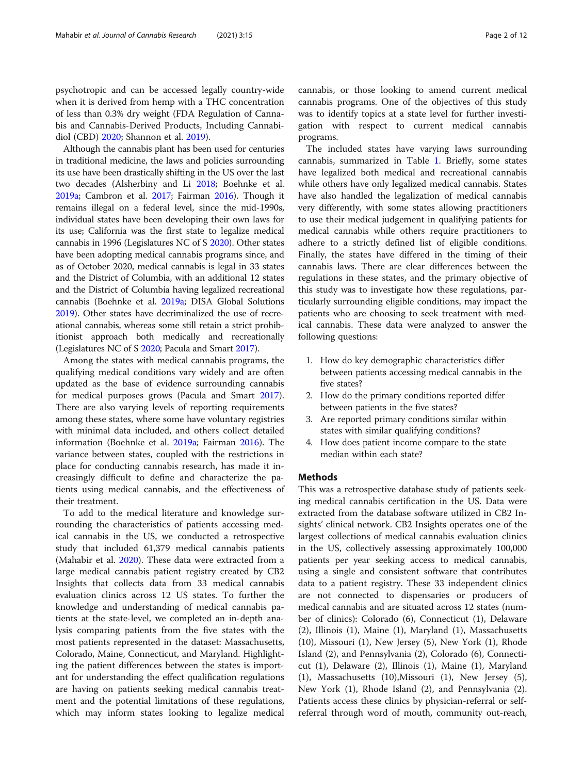Although the cannabis plant has been used for centuries in traditional medicine, the laws and policies surrounding its use have been drastically shifting in the US over the last two decades (Alsherbiny and Li [2018](#page-10-0); Boehnke et al. [2019a](#page-10-0); Cambron et al. [2017;](#page-10-0) Fairman [2016\)](#page-10-0). Though it remains illegal on a federal level, since the mid-1990s, individual states have been developing their own laws for its use; California was the first state to legalize medical cannabis in 1996 (Legislatures NC of S [2020\)](#page-10-0). Other states have been adopting medical cannabis programs since, and as of October 2020, medical cannabis is legal in 33 states and the District of Columbia, with an additional 12 states and the District of Columbia having legalized recreational cannabis (Boehnke et al. [2019a](#page-10-0); DISA Global Solutions [2019\)](#page-10-0). Other states have decriminalized the use of recreational cannabis, whereas some still retain a strict prohibitionist approach both medically and recreationally (Legislatures NC of S [2020](#page-10-0); Pacula and Smart [2017](#page-10-0)).

Among the states with medical cannabis programs, the qualifying medical conditions vary widely and are often updated as the base of evidence surrounding cannabis for medical purposes grows (Pacula and Smart [2017](#page-10-0)). There are also varying levels of reporting requirements among these states, where some have voluntary registries with minimal data included, and others collect detailed information (Boehnke et al. [2019a;](#page-10-0) Fairman [2016\)](#page-10-0). The variance between states, coupled with the restrictions in place for conducting cannabis research, has made it increasingly difficult to define and characterize the patients using medical cannabis, and the effectiveness of their treatment.

To add to the medical literature and knowledge surrounding the characteristics of patients accessing medical cannabis in the US, we conducted a retrospective study that included 61,379 medical cannabis patients (Mahabir et al. [2020](#page-10-0)). These data were extracted from a large medical cannabis patient registry created by CB2 Insights that collects data from 33 medical cannabis evaluation clinics across 12 US states. To further the knowledge and understanding of medical cannabis patients at the state-level, we completed an in-depth analysis comparing patients from the five states with the most patients represented in the dataset: Massachusetts, Colorado, Maine, Connecticut, and Maryland. Highlighting the patient differences between the states is important for understanding the effect qualification regulations are having on patients seeking medical cannabis treatment and the potential limitations of these regulations, which may inform states looking to legalize medical

cannabis, or those looking to amend current medical cannabis programs. One of the objectives of this study was to identify topics at a state level for further investigation with respect to current medical cannabis programs.

The included states have varying laws surrounding cannabis, summarized in Table [1.](#page-2-0) Briefly, some states have legalized both medical and recreational cannabis while others have only legalized medical cannabis. States have also handled the legalization of medical cannabis very differently, with some states allowing practitioners to use their medical judgement in qualifying patients for medical cannabis while others require practitioners to adhere to a strictly defined list of eligible conditions. Finally, the states have differed in the timing of their cannabis laws. There are clear differences between the regulations in these states, and the primary objective of this study was to investigate how these regulations, particularly surrounding eligible conditions, may impact the patients who are choosing to seek treatment with medical cannabis. These data were analyzed to answer the following questions:

- 1. How do key demographic characteristics differ between patients accessing medical cannabis in the five states?
- 2. How do the primary conditions reported differ between patients in the five states?
- 3. Are reported primary conditions similar within states with similar qualifying conditions?
- 4. How does patient income compare to the state median within each state?

# **Methods**

This was a retrospective database study of patients seeking medical cannabis certification in the US. Data were extracted from the database software utilized in CB2 Insights' clinical network. CB2 Insights operates one of the largest collections of medical cannabis evaluation clinics in the US, collectively assessing approximately 100,000 patients per year seeking access to medical cannabis, using a single and consistent software that contributes data to a patient registry. These 33 independent clinics are not connected to dispensaries or producers of medical cannabis and are situated across 12 states (number of clinics): Colorado (6), Connecticut (1), Delaware (2), Illinois (1), Maine (1), Maryland (1), Massachusetts (10), Missouri (1), New Jersey (5), New York (1), Rhode Island (2), and Pennsylvania (2), Colorado (6), Connecticut (1), Delaware (2), Illinois (1), Maine (1), Maryland (1), Massachusetts (10),Missouri (1), New Jersey (5), New York (1), Rhode Island (2), and Pennsylvania (2). Patients access these clinics by physician-referral or selfreferral through word of mouth, community out-reach,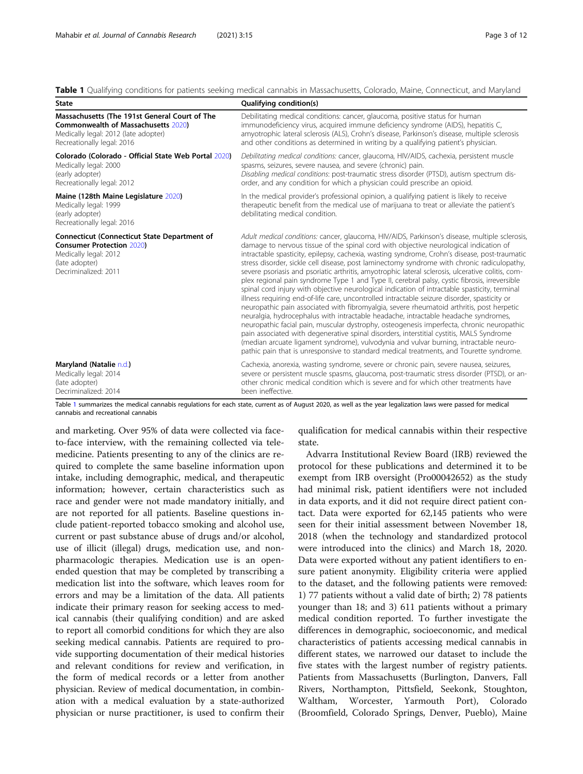## <span id="page-2-0"></span>Table 1 Qualifying conditions for patients seeking medical cannabis in Massachusetts, Colorado, Maine, Connecticut, and Maryland

| State                                                                                                                                                      | Qualifying condition(s)                                                                                                                                                                                                                                                                                                                                                                                                                                                                                                                                                                                                                                                                                                                                                                                                                                                                                                                                                                                                                                                                                                                                                                                                                                                                                                                                         |
|------------------------------------------------------------------------------------------------------------------------------------------------------------|-----------------------------------------------------------------------------------------------------------------------------------------------------------------------------------------------------------------------------------------------------------------------------------------------------------------------------------------------------------------------------------------------------------------------------------------------------------------------------------------------------------------------------------------------------------------------------------------------------------------------------------------------------------------------------------------------------------------------------------------------------------------------------------------------------------------------------------------------------------------------------------------------------------------------------------------------------------------------------------------------------------------------------------------------------------------------------------------------------------------------------------------------------------------------------------------------------------------------------------------------------------------------------------------------------------------------------------------------------------------|
| Massachusetts (The 191st General Court of The                                                                                                              | Debilitating medical conditions: cancer, glaucoma, positive status for human                                                                                                                                                                                                                                                                                                                                                                                                                                                                                                                                                                                                                                                                                                                                                                                                                                                                                                                                                                                                                                                                                                                                                                                                                                                                                    |
| <b>Commonwealth of Massachusetts 2020)</b>                                                                                                                 | immunodeficiency virus, acquired immune deficiency syndrome (AIDS), hepatitis C,                                                                                                                                                                                                                                                                                                                                                                                                                                                                                                                                                                                                                                                                                                                                                                                                                                                                                                                                                                                                                                                                                                                                                                                                                                                                                |
| Medically legal: 2012 (late adopter)                                                                                                                       | amyotrophic lateral sclerosis (ALS), Crohn's disease, Parkinson's disease, multiple sclerosis                                                                                                                                                                                                                                                                                                                                                                                                                                                                                                                                                                                                                                                                                                                                                                                                                                                                                                                                                                                                                                                                                                                                                                                                                                                                   |
| Recreationally legal: 2016                                                                                                                                 | and other conditions as determined in writing by a qualifying patient's physician.                                                                                                                                                                                                                                                                                                                                                                                                                                                                                                                                                                                                                                                                                                                                                                                                                                                                                                                                                                                                                                                                                                                                                                                                                                                                              |
| Colorado (Colorado - Official State Web Portal 2020)                                                                                                       | Debilitating medical conditions: cancer, glaucoma, HIV/AIDS, cachexia, persistent muscle                                                                                                                                                                                                                                                                                                                                                                                                                                                                                                                                                                                                                                                                                                                                                                                                                                                                                                                                                                                                                                                                                                                                                                                                                                                                        |
| Medically legal: 2000                                                                                                                                      | spasms, seizures, severe nausea, and severe (chronic) pain.                                                                                                                                                                                                                                                                                                                                                                                                                                                                                                                                                                                                                                                                                                                                                                                                                                                                                                                                                                                                                                                                                                                                                                                                                                                                                                     |
| (early adopter)                                                                                                                                            | Disabling medical conditions: post-traumatic stress disorder (PTSD), autism spectrum dis-                                                                                                                                                                                                                                                                                                                                                                                                                                                                                                                                                                                                                                                                                                                                                                                                                                                                                                                                                                                                                                                                                                                                                                                                                                                                       |
| Recreationally legal: 2012                                                                                                                                 | order, and any condition for which a physician could prescribe an opioid.                                                                                                                                                                                                                                                                                                                                                                                                                                                                                                                                                                                                                                                                                                                                                                                                                                                                                                                                                                                                                                                                                                                                                                                                                                                                                       |
| Maine (128th Maine Legislature 2020)<br>Medically legal: 1999<br>(early adopter)<br>Recreationally legal: 2016                                             | In the medical provider's professional opinion, a qualifying patient is likely to receive<br>therapeutic benefit from the medical use of marijuana to treat or alleviate the patient's<br>debilitating medical condition.                                                                                                                                                                                                                                                                                                                                                                                                                                                                                                                                                                                                                                                                                                                                                                                                                                                                                                                                                                                                                                                                                                                                       |
| <b>Connecticut (Connecticut State Department of</b><br><b>Consumer Protection 2020)</b><br>Medically legal: 2012<br>(late adopter)<br>Decriminalized: 2011 | Adult medical conditions: cancer, glaucoma, HIV/AIDS, Parkinson's disease, multiple sclerosis,<br>damage to nervous tissue of the spinal cord with objective neurological indication of<br>intractable spasticity, epilepsy, cachexia, wasting syndrome, Crohn's disease, post-traumatic<br>stress disorder, sickle cell disease, post laminectomy syndrome with chronic radiculopathy,<br>severe psoriasis and psoriatic arthritis, amyotrophic lateral sclerosis, ulcerative colitis, com-<br>plex regional pain syndrome Type 1 and Type II, cerebral palsy, cystic fibrosis, irreversible<br>spinal cord injury with objective neurological indication of intractable spasticity, terminal<br>illness requiring end-of-life care, uncontrolled intractable seizure disorder, spasticity or<br>neuropathic pain associated with fibromyalgia, severe rheumatoid arthritis, post herpetic<br>neuralgia, hydrocephalus with intractable headache, intractable headache syndromes,<br>neuropathic facial pain, muscular dystrophy, osteogenesis imperfecta, chronic neuropathic<br>pain associated with degenerative spinal disorders, interstitial cystitis, MALS Syndrome<br>(median arcuate ligament syndrome), vulvodynia and vulvar burning, intractable neuro-<br>pathic pain that is unresponsive to standard medical treatments, and Tourette syndrome. |
| Maryland (Natalie n.d.)                                                                                                                                    | Cachexia, anorexia, wasting syndrome, severe or chronic pain, severe nausea, seizures,                                                                                                                                                                                                                                                                                                                                                                                                                                                                                                                                                                                                                                                                                                                                                                                                                                                                                                                                                                                                                                                                                                                                                                                                                                                                          |
| Medically legal: 2014                                                                                                                                      | severe or persistent muscle spasms, glaucoma, post-traumatic stress disorder (PTSD), or an-                                                                                                                                                                                                                                                                                                                                                                                                                                                                                                                                                                                                                                                                                                                                                                                                                                                                                                                                                                                                                                                                                                                                                                                                                                                                     |
| (late adopter)                                                                                                                                             | other chronic medical condition which is severe and for which other treatments have                                                                                                                                                                                                                                                                                                                                                                                                                                                                                                                                                                                                                                                                                                                                                                                                                                                                                                                                                                                                                                                                                                                                                                                                                                                                             |
| Decriminalized: 2014                                                                                                                                       | been ineffective.                                                                                                                                                                                                                                                                                                                                                                                                                                                                                                                                                                                                                                                                                                                                                                                                                                                                                                                                                                                                                                                                                                                                                                                                                                                                                                                                               |

Table 1 summarizes the medical cannabis regulations for each state, current as of August 2020, as well as the year legalization laws were passed for medical cannabis and recreational cannabis

and marketing. Over 95% of data were collected via faceto-face interview, with the remaining collected via telemedicine. Patients presenting to any of the clinics are required to complete the same baseline information upon intake, including demographic, medical, and therapeutic information; however, certain characteristics such as race and gender were not made mandatory initially, and are not reported for all patients. Baseline questions include patient-reported tobacco smoking and alcohol use, current or past substance abuse of drugs and/or alcohol, use of illicit (illegal) drugs, medication use, and nonpharmacologic therapies. Medication use is an openended question that may be completed by transcribing a medication list into the software, which leaves room for errors and may be a limitation of the data. All patients indicate their primary reason for seeking access to medical cannabis (their qualifying condition) and are asked to report all comorbid conditions for which they are also seeking medical cannabis. Patients are required to provide supporting documentation of their medical histories and relevant conditions for review and verification, in the form of medical records or a letter from another physician. Review of medical documentation, in combination with a medical evaluation by a state-authorized physician or nurse practitioner, is used to confirm their

qualification for medical cannabis within their respective state.

Advarra Institutional Review Board (IRB) reviewed the protocol for these publications and determined it to be exempt from IRB oversight (Pro00042652) as the study had minimal risk, patient identifiers were not included in data exports, and it did not require direct patient contact. Data were exported for 62,145 patients who were seen for their initial assessment between November 18, 2018 (when the technology and standardized protocol were introduced into the clinics) and March 18, 2020. Data were exported without any patient identifiers to ensure patient anonymity. Eligibility criteria were applied to the dataset, and the following patients were removed: 1) 77 patients without a valid date of birth; 2) 78 patients younger than 18; and 3) 611 patients without a primary medical condition reported. To further investigate the differences in demographic, socioeconomic, and medical characteristics of patients accessing medical cannabis in different states, we narrowed our dataset to include the five states with the largest number of registry patients. Patients from Massachusetts (Burlington, Danvers, Fall Rivers, Northampton, Pittsfield, Seekonk, Stoughton, Waltham, Worcester, Yarmouth Port), Colorado (Broomfield, Colorado Springs, Denver, Pueblo), Maine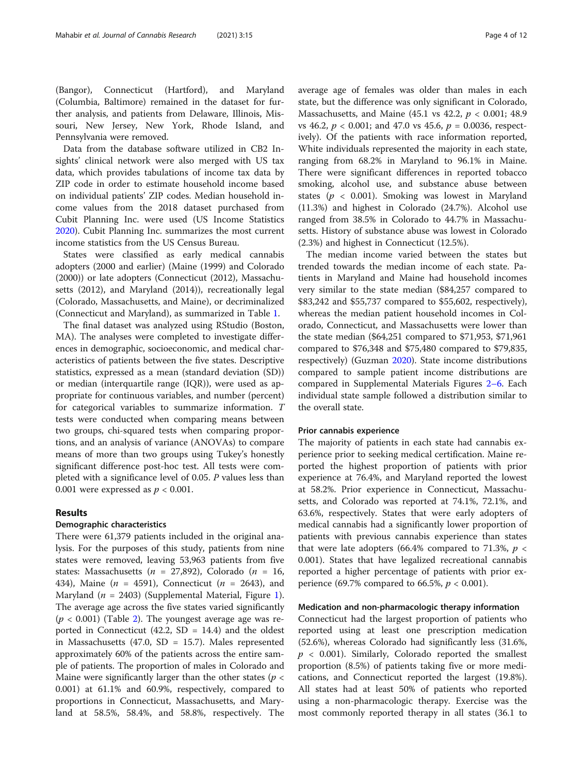(Bangor), Connecticut (Hartford), and Maryland (Columbia, Baltimore) remained in the dataset for further analysis, and patients from Delaware, Illinois, Missouri, New Jersey, New York, Rhode Island, and Pennsylvania were removed.

Data from the database software utilized in CB2 Insights' clinical network were also merged with US tax data, which provides tabulations of income tax data by ZIP code in order to estimate household income based on individual patients' ZIP codes. Median household income values from the 2018 dataset purchased from Cubit Planning Inc. were used (US Income Statistics [2020](#page-11-0)). Cubit Planning Inc. summarizes the most current income statistics from the US Census Bureau.

States were classified as early medical cannabis adopters (2000 and earlier) (Maine (1999) and Colorado (2000)) or late adopters (Connecticut (2012), Massachusetts (2012), and Maryland (2014)), recreationally legal (Colorado, Massachusetts, and Maine), or decriminalized (Connecticut and Maryland), as summarized in Table [1](#page-2-0).

The final dataset was analyzed using RStudio (Boston, MA). The analyses were completed to investigate differences in demographic, socioeconomic, and medical characteristics of patients between the five states. Descriptive statistics, expressed as a mean (standard deviation (SD)) or median (interquartile range (IQR)), were used as appropriate for continuous variables, and number (percent) for categorical variables to summarize information. T tests were conducted when comparing means between two groups, chi-squared tests when comparing proportions, and an analysis of variance (ANOVAs) to compare means of more than two groups using Tukey's honestly significant difference post-hoc test. All tests were completed with a significance level of 0.05. P values less than 0.001 were expressed as  $p < 0.001$ .

# Results

# Demographic characteristics

There were 61,379 patients included in the original analysis. For the purposes of this study, patients from nine states were removed, leaving 53,963 patients from five states: Massachusetts ( $n = 27,892$ ), Colorado ( $n = 16$ , 434), Maine ( $n = 4591$ ), Connecticut ( $n = 2643$ ), and Maryland ( $n = 2403$ ) (Supplemental Material, Figure [1](#page-9-0)). The average age across the five states varied significantly  $(p < 0.001)$  (Table [2\)](#page-4-0). The youngest average age was reported in Connecticut (42.2,  $SD = 14.4$ ) and the oldest in Massachusetts (47.0, SD = 15.7). Males represented approximately 60% of the patients across the entire sample of patients. The proportion of males in Colorado and Maine were significantly larger than the other states ( $p <$ 0.001) at 61.1% and 60.9%, respectively, compared to proportions in Connecticut, Massachusetts, and Maryland at 58.5%, 58.4%, and 58.8%, respectively. The state, but the difference was only significant in Colorado, Massachusetts, and Maine (45.1 vs 42.2,  $p < 0.001$ ; 48.9 vs 46.2,  $p < 0.001$ ; and 47.0 vs 45.6,  $p = 0.0036$ , respectively). Of the patients with race information reported, White individuals represented the majority in each state, ranging from 68.2% in Maryland to 96.1% in Maine. There were significant differences in reported tobacco smoking, alcohol use, and substance abuse between states ( $p < 0.001$ ). Smoking was lowest in Maryland (11.3%) and highest in Colorado (24.7%). Alcohol use ranged from 38.5% in Colorado to 44.7% in Massachusetts. History of substance abuse was lowest in Colorado (2.3%) and highest in Connecticut (12.5%).

The median income varied between the states but trended towards the median income of each state. Patients in Maryland and Maine had household incomes very similar to the state median (\$84,257 compared to \$83,242 and \$55,737 compared to \$55,602, respectively), whereas the median patient household incomes in Colorado, Connecticut, and Massachusetts were lower than the state median (\$64,251 compared to \$71,953, \$71,961 compared to \$76,348 and \$75,480 compared to \$79,835, respectively) (Guzman [2020](#page-10-0)). State income distributions compared to sample patient income distributions are compared in Supplemental Materials Figures 2[–](#page-9-0)6. Each individual state sample followed a distribution similar to the overall state.

# Prior cannabis experience

The majority of patients in each state had cannabis experience prior to seeking medical certification. Maine reported the highest proportion of patients with prior experience at 76.4%, and Maryland reported the lowest at 58.2%. Prior experience in Connecticut, Massachusetts, and Colorado was reported at 74.1%, 72.1%, and 63.6%, respectively. States that were early adopters of medical cannabis had a significantly lower proportion of patients with previous cannabis experience than states that were late adopters (66.4% compared to 71.3%,  $p \lt \theta$ 0.001). States that have legalized recreational cannabis reported a higher percentage of patients with prior experience (69.7% compared to 66.5%,  $p < 0.001$ ).

# Medication and non-pharmacologic therapy information

Connecticut had the largest proportion of patients who reported using at least one prescription medication (52.6%), whereas Colorado had significantly less (31.6%,  $p \sim 0.001$ ). Similarly, Colorado reported the smallest proportion (8.5%) of patients taking five or more medications, and Connecticut reported the largest (19.8%). All states had at least 50% of patients who reported using a non-pharmacologic therapy. Exercise was the most commonly reported therapy in all states (36.1 to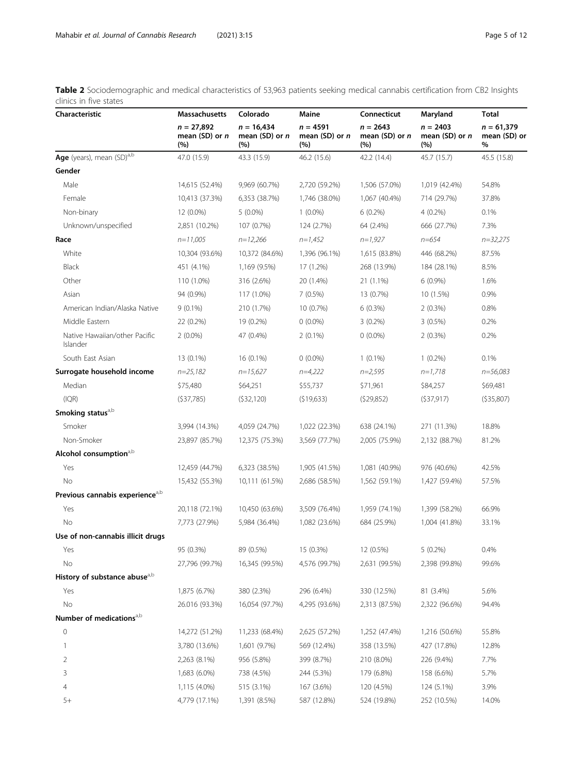<span id="page-4-0"></span>

| Table 2 Sociodemographic and medical characteristics of 53,963 patients seeking medical cannabis certification from CB2 Insights |  |  |  |  |
|----------------------------------------------------------------------------------------------------------------------------------|--|--|--|--|
| clinics in five states                                                                                                           |  |  |  |  |

| Characteristic                              | Massachusetts                           | Colorado<br>Maine                       |                                          | Connecticut                         | Maryland                              | Total                             |  |
|---------------------------------------------|-----------------------------------------|-----------------------------------------|------------------------------------------|-------------------------------------|---------------------------------------|-----------------------------------|--|
|                                             | $n = 27,892$<br>mean (SD) or $n$<br>(%) | $n = 16,434$<br>mean $(SD)$ or n<br>(%) | $n = 4591$<br>mean (SD) or $n$<br>$(\%)$ | $n = 2643$<br>mean (SD) or n<br>(%) | $n = 2403$<br>mean $(SD)$ or n<br>(%) | $n = 61,379$<br>mean (SD) or<br>% |  |
| Age (years), mean (SD) <sup>a,b</sup>       | 47.0 (15.9)                             | 43.3 (15.9)                             | 46.2 (15.6)                              | 42.2 (14.4)                         | 45.7 (15.7)                           | 45.5 (15.8)                       |  |
| Gender                                      |                                         |                                         |                                          |                                     |                                       |                                   |  |
| Male                                        | 14,615 (52.4%)                          | 9,969 (60.7%)                           | 2,720 (59.2%)                            | 1,506 (57.0%)                       | 1,019 (42.4%)                         | 54.8%                             |  |
| Female                                      | 10,413 (37.3%)                          | 6,353 (38.7%)                           | 1,746 (38.0%)                            | 1,067 (40.4%)                       | 714 (29.7%)                           | 37.8%                             |  |
| Non-binary                                  | 12 (0.0%)                               | $5(0.0\%)$                              | $1(0.0\%)$                               | $6(0.2\%)$                          | $4(0.2\%)$                            | 0.1%                              |  |
| Unknown/unspecified                         | 2,851 (10.2%)                           | 107 (0.7%)                              | 124 (2.7%)                               | 64 (2.4%)                           | 666 (27.7%)                           | 7.3%                              |  |
| Race                                        | $n=11,005$                              | $n=12,266$                              | $n=1,452$                                | $n=1,927$                           | $n = 654$                             | $n = 32,275$                      |  |
| White                                       | 10,304 (93.6%)                          | 10,372 (84.6%)                          | 1,396 (96.1%)                            | 1,615 (83.8%)                       | 446 (68.2%)                           | 87.5%                             |  |
| <b>Black</b>                                | 451 (4.1%)                              | 1,169 (9.5%)                            | 17 (1.2%)                                | 268 (13.9%)                         | 184 (28.1%)                           | 8.5%                              |  |
| Other                                       | 110 (1.0%)                              | 316 (2.6%)                              | 20 (1.4%)                                | 21 (1.1%)                           | $6(0.9\%)$                            | 1.6%                              |  |
| Asian                                       | 94 (0.9%)                               | 117 (1.0%)                              | $7(0.5\%)$                               | 13 (0.7%)                           | 10 (1.5%)                             | 0.9%                              |  |
| American Indian/Alaska Native               | $9(0.1\%)$                              | 210 (1.7%)                              | 10 (0.7%)                                | $6(0.3\%)$                          | $2(0.3\%)$                            | 0.8%                              |  |
| Middle Eastern                              | 22 (0.2%)                               | 19 (0.2%)                               | $0(0.0\%)$                               | $3(0.2\%)$                          | $3(0.5\%)$                            | 0.2%                              |  |
| Native Hawaiian/other Pacific<br>Islander   | $2(0.0\%)$                              | 47 (0.4%)                               | $2(0.1\%)$                               | $0(0.0\%)$                          | $2(0.3\%)$                            | 0.2%                              |  |
| South East Asian                            | 13 (0.1%)                               | 16 (0.1%)                               | $0(0.0\%)$                               | $1(0.1\%)$                          | $1(0.2\%)$                            | 0.1%                              |  |
| Surrogate household income                  | $n=25,182$                              | $n=15,627$                              | $n=4,222$                                | $n=2,595$                           | $n=1,718$                             | $n = 56,083$                      |  |
| Median                                      | \$75,480                                | \$64,251                                | \$55,737                                 | \$71,961                            | \$84,257                              | \$69,481                          |  |
| (IQR)                                       | (537,785)                               | (532, 120)                              | (519, 633)                               | (529,852)                           | (537,917)                             | (535,807)                         |  |
| Smoking status <sup>a,b</sup>               |                                         |                                         |                                          |                                     |                                       |                                   |  |
| Smoker                                      | 3,994 (14.3%)                           | 4,059 (24.7%)                           | 1,022 (22.3%)                            | 638 (24.1%)                         | 271 (11.3%)                           | 18.8%                             |  |
| Non-Smoker                                  | 23,897 (85.7%)                          | 12,375 (75.3%)                          | 3,569 (77.7%)                            | 2,005 (75.9%)                       | 2,132 (88.7%)                         | 81.2%                             |  |
| Alcohol consumption <sup>a,b</sup>          |                                         |                                         |                                          |                                     |                                       |                                   |  |
| Yes                                         | 12,459 (44.7%)                          | 6,323 (38.5%)                           | 1,905 (41.5%)                            | 1,081 (40.9%)                       | 976 (40.6%)                           | 42.5%                             |  |
| No                                          | 15,432 (55.3%)                          | 10,111 (61.5%)                          | 2,686 (58.5%)                            | 1,562 (59.1%)                       | 1,427 (59.4%)                         | 57.5%                             |  |
| Previous cannabis experience <sup>a,b</sup> |                                         |                                         |                                          |                                     |                                       |                                   |  |
| Yes                                         | 20,118 (72.1%)                          | 10,450 (63.6%)                          | 3,509 (76.4%)                            | 1,959 (74.1%)                       | 1,399 (58.2%)                         | 66.9%                             |  |
| No                                          | 7,773 (27.9%)                           | 5,984 (36.4%)                           | 1,082 (23.6%)                            | 684 (25.9%)                         | 1,004 (41.8%)                         | 33.1%                             |  |
| Use of non-cannabis illicit drugs           |                                         |                                         |                                          |                                     |                                       |                                   |  |
| Yes                                         | 95 (0.3%)                               | 89 (0.5%)                               | 15 (0.3%)                                | 12 (0.5%)                           | $5(0.2\%)$                            | 0.4%                              |  |
| No                                          | 27,796 (99.7%)                          | 16,345 (99.5%)                          | 4,576 (99.7%)                            | 2,631 (99.5%)                       | 2,398 (99.8%)                         | 99.6%                             |  |
| History of substance abuse <sup>a,b</sup>   |                                         |                                         |                                          |                                     |                                       |                                   |  |
| Yes                                         | 1,875 (6.7%)                            | 380 (2.3%)                              | 296 (6.4%)                               | 330 (12.5%)                         | 81 (3.4%)                             | 5.6%                              |  |
| No                                          | 26.016 (93.3%)                          | 16,054 (97.7%)                          | 4,295 (93.6%)                            | 2,313 (87.5%)                       | 2,322 (96.6%)                         | 94.4%                             |  |
| Number of medications <sup>a,b</sup>        |                                         |                                         |                                          |                                     |                                       |                                   |  |
| $\mathsf{O}\xspace$                         | 14,272 (51.2%)                          | 11,233 (68.4%)                          | 2,625 (57.2%)                            | 1,252 (47.4%)                       | 1,216 (50.6%)                         | 55.8%                             |  |
| 1                                           | 3,780 (13.6%)                           | 1,601 (9.7%)                            | 569 (12.4%)                              | 358 (13.5%)                         | 427 (17.8%)                           | 12.8%                             |  |
| 2                                           | 2,263 (8.1%)                            | 956 (5.8%)                              | 399 (8.7%)                               | 210 (8.0%)                          | 226 (9.4%)                            | 7.7%                              |  |
| 3                                           | 1,683 (6.0%)                            | 738 (4.5%)                              | 244 (5.3%)                               | 179 (6.8%)                          | 158 (6.6%)                            | 5.7%                              |  |
| 4                                           | 1,115 (4.0%)                            | 515 (3.1%)                              | 167 (3.6%)                               | 120 (4.5%)                          | 124 (5.1%)                            | 3.9%                              |  |
| $5+$                                        | 4,779 (17.1%)                           | 1,391 (8.5%)                            | 587 (12.8%)                              | 524 (19.8%)                         | 252 (10.5%)                           | 14.0%                             |  |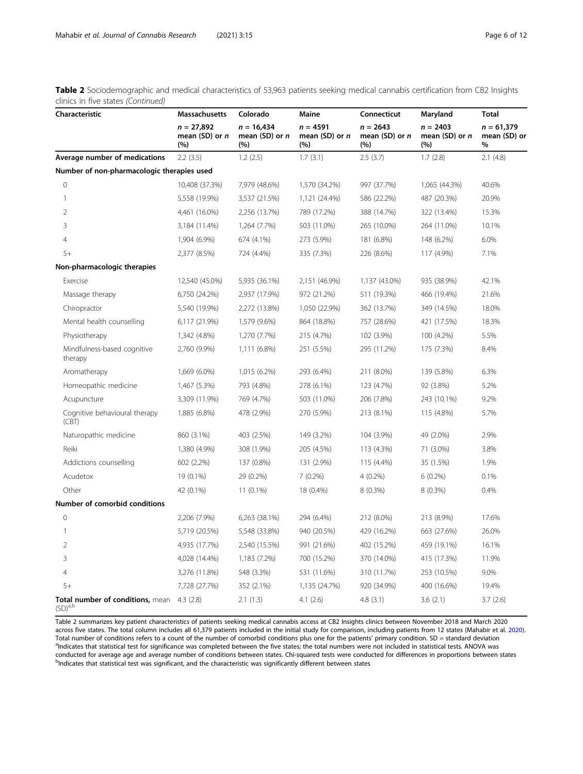Table 2 Sociodemographic and medical characteristics of 53,963 patients seeking medical cannabis certification from CB2 Insights clinics in five states (Continued)

| Characteristic                                             | <b>Massachusetts</b>                                                             | Colorado      | Maine                               | Connecticut                           | Maryland                                | <b>Total</b>                         |  |
|------------------------------------------------------------|----------------------------------------------------------------------------------|---------------|-------------------------------------|---------------------------------------|-----------------------------------------|--------------------------------------|--|
|                                                            | $n = 27,892$<br>$n = 16,434$<br>mean (SD) or n<br>mean (SD) or $n$<br>(%)<br>(%) |               | $n = 4591$<br>mean (SD) or n<br>(%) | $n = 2643$<br>mean $(SD)$ or n<br>(%) | $n = 2403$<br>mean $(SD)$ or $n$<br>(%) | $n = 61,379$<br>mean (SD) or<br>$\%$ |  |
| Average number of medications                              | 2.2(3.5)                                                                         | 1.2(2.5)      | 1.7(3.1)                            | 2.5(3.7)                              | 1.7(2.8)                                | 2.1(4.8)                             |  |
| Number of non-pharmacologic therapies used                 |                                                                                  |               |                                     |                                       |                                         |                                      |  |
| $\mathbf{0}$                                               | 10,408 (37.3%)                                                                   | 7,979 (48.6%) | 1,570 (34.2%)                       | 997 (37.7%)                           | 1,065 (44.3%)                           | 40.6%                                |  |
| 1                                                          | 5,558 (19.9%)                                                                    | 3,537 (21.5%) | 1,121 (24.4%)                       | 586 (22.2%)                           | 487 (20.3%)                             | 20.9%                                |  |
| 2                                                          | 4,461 (16.0%)                                                                    | 2,256 (13.7%) | 789 (17.2%)                         | 388 (14.7%)                           | 322 (13.4%)                             | 15.3%                                |  |
| 3                                                          | 3,184 (11.4%)                                                                    | 1,264 (7.7%)  | 503 (11.0%)                         | 265 (10.0%)                           | 264 (11.0%)                             | 10.1%                                |  |
| $\overline{4}$                                             | 1,904 (6.9%)                                                                     | 674 (4.1%)    | 273 (5.9%)                          | 181 (6.8%)                            | 148 (6.2%)                              | 6.0%                                 |  |
| $5+$                                                       | 2,377 (8.5%)                                                                     | 724 (4.4%)    | 335 (7.3%)                          | 226 (8.6%)                            | 117 (4.9%)                              | 7.1%                                 |  |
| Non-pharmacologic therapies                                |                                                                                  |               |                                     |                                       |                                         |                                      |  |
| Exercise                                                   | 12,540 (45.0%)                                                                   | 5,935 (36.1%) | 2,151 (46.9%)                       | 1,137 (43.0%)                         | 935 (38.9%)                             | 42.1%                                |  |
| Massage therapy                                            | 6,750 (24.2%)                                                                    | 2,937 (17.9%) | 972 (21.2%)                         | 511 (19.3%)                           | 466 (19.4%)                             | 21.6%                                |  |
| Chiropractor                                               | 5,540 (19.9%)                                                                    | 2,272 (13.8%) | 1,050 (22.9%)                       | 362 (13.7%)                           | 349 (14.5%)                             | 18.0%                                |  |
| Mental health counselling                                  | 6,117 (21.9%)                                                                    | 1,579 (9.6%)  | 864 (18.8%)                         | 757 (28.6%)                           | 421 (17.5%)                             | 18.3%                                |  |
| Physiotherapy                                              | 1,342 (4.8%)                                                                     | 1,270 (7.7%)  | 215 (4.7%)                          | 102 (3.9%)                            | 100 (4.2%)                              | 5.5%                                 |  |
| Mindfulness-based cognitive<br>therapy                     | 2,760 (9.9%)                                                                     | 1,111 (6.8%)  | 251 (5.5%)                          | 295 (11.2%)                           | 175 (7.3%)                              | 8.4%                                 |  |
| Aromatherapy                                               | 1,669 (6.0%)                                                                     | 1,015 (6.2%)  | 293 (6.4%)                          | 211 (8.0%)                            | 139 (5.8%)                              | 6.3%                                 |  |
| Homeopathic medicine                                       | 1,467 (5.3%)                                                                     | 793 (4.8%)    | 278 (6.1%)                          | 123 (4.7%)                            | 92 (3.8%)                               | 5.2%                                 |  |
| Acupuncture                                                | 3,309 (11.9%)                                                                    | 769 (4.7%)    | 503 (11.0%)                         | 206 (7.8%)                            | 243 (10.1%)                             | 9.2%                                 |  |
| Cognitive behavioural therapy<br>(CBT)                     | 1,885 (6.8%)                                                                     | 478 (2.9%)    | 270 (5.9%)                          | 213 (8.1%)                            | 115 (4.8%)                              | 5.7%                                 |  |
| Naturopathic medicine                                      | 860 (3.1%)                                                                       | 403 (2.5%)    | 149 (3.2%)                          | 104 (3.9%)                            | 49 (2.0%)                               | 2.9%                                 |  |
| Reiki                                                      | 1,380 (4.9%)                                                                     | 308 (1.9%)    | 205 (4.5%)                          | 113 (4.3%)                            | 71 (3.0%)                               | 3.8%                                 |  |
| Addictions counselling                                     | 602 (2.2%)                                                                       | 137 (0.8%)    | 131 (2.9%)                          | 115 (4.4%)                            | 35 (1.5%)                               | 1.9%                                 |  |
| Acudetox                                                   | 19 (0.1%)                                                                        | 29 (0.2%)     | $7(0.2\%)$                          | $4(0.2\%)$                            | $6(0.2\%)$                              | 0.1%                                 |  |
| Other                                                      | 42 (0.1%)                                                                        | $11(0.1\%)$   | 18 (0.4%)                           | $8(0.3\%)$                            | 8 (0.3%)                                | 0.4%                                 |  |
| Number of comorbid conditions                              |                                                                                  |               |                                     |                                       |                                         |                                      |  |
| $\mathbf 0$                                                | 2,206 (7.9%)                                                                     | 6,263 (38.1%) | 294 (6.4%)                          | 212 (8.0%)                            | 213 (8.9%)                              | 17.6%                                |  |
| $\mathbf{1}$                                               | 5,719 (20.5%)                                                                    | 5,548 (33.8%) | 940 (20.5%)                         | 429 (16.2%)                           | 663 (27.6%)                             | 26.0%                                |  |
| $\overline{2}$                                             | 4,935 (17.7%)                                                                    | 2,540 (15.5%) | 991 (21.6%)                         | 402 (15.2%)                           | 459 (19.1%)                             | 16.1%                                |  |
| 3                                                          | 4,028 (14.4%)                                                                    | 1,183 (7.2%)  | 700 (15.2%)                         | 370 (14.0%)                           | 415 (17.3%)                             | 11.9%                                |  |
| $\overline{4}$                                             | 3,276 (11.8%)                                                                    | 548 (3.3%)    | 531 (11.6%)                         | 310 (11.7%)                           | 253 (10.5%)                             | 9.0%                                 |  |
| $5+$                                                       | 7,728 (27.7%)                                                                    | 352 (2.1%)    | 1,135 (24.7%)                       | 920 (34.9%)                           | 400 (16.6%)                             | 19.4%                                |  |
| Total number of conditions, mean 4.3 (2.8)<br>$(SD)^{a,b}$ |                                                                                  | 2.1(1.3)      | 4.1(2.6)                            | 4.8(3.1)                              | 3.6(2.1)                                | 3.7(2.6)                             |  |

Table 2 summarizes key patient characteristics of patients seeking medical cannabis access at CB2 Insights clinics between November 2018 and March 2020 across five states. The total column includes all 61,379 patients included in the initial study for comparison, including patients from 12 states (Mahabir et al. [2020\)](#page-10-0). Total number of conditions refers to a count of the number of comorbid conditions plus one for the patients' primary condition. SD = standard deviation <sup>a</sup>Indicates that statistical test for significance was completed between the five states; the total numbers were not included in statistical tests. ANOVA was conducted for average age and average number of conditions between states. Chi-squared tests were conducted for differences in proportions between states<br><sup>b</sup>Indicates that statistical test was significant, and the characte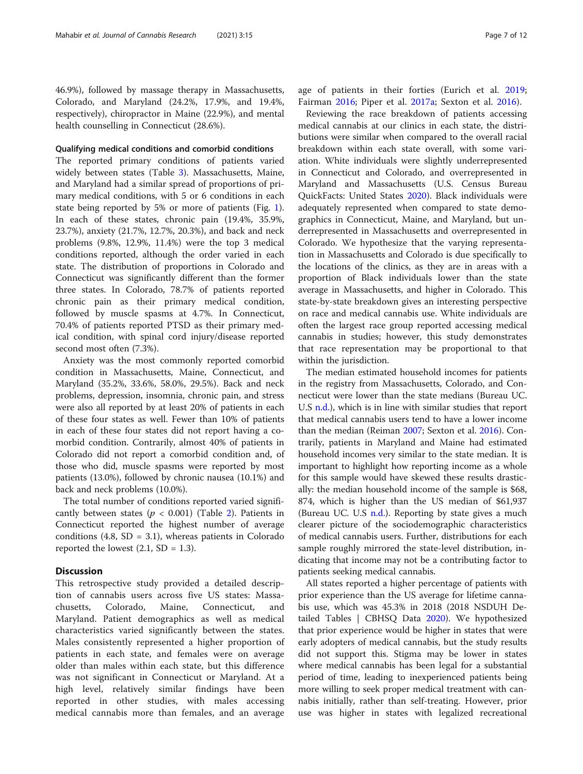46.9%), followed by massage therapy in Massachusetts, Colorado, and Maryland (24.2%, 17.9%, and 19.4%, respectively), chiropractor in Maine (22.9%), and mental health counselling in Connecticut (28.6%).

# Qualifying medical conditions and comorbid conditions

The reported primary conditions of patients varied widely between states (Table [3\)](#page-7-0). Massachusetts, Maine, and Maryland had a similar spread of proportions of primary medical conditions, with 5 or 6 conditions in each state being reported by 5% or more of patients (Fig. [1](#page-8-0)). In each of these states, chronic pain (19.4%, 35.9%, 23.7%), anxiety (21.7%, 12.7%, 20.3%), and back and neck problems (9.8%, 12.9%, 11.4%) were the top 3 medical conditions reported, although the order varied in each state. The distribution of proportions in Colorado and Connecticut was significantly different than the former three states. In Colorado, 78.7% of patients reported chronic pain as their primary medical condition, followed by muscle spasms at 4.7%. In Connecticut, 70.4% of patients reported PTSD as their primary medical condition, with spinal cord injury/disease reported second most often (7.3%).

Anxiety was the most commonly reported comorbid condition in Massachusetts, Maine, Connecticut, and Maryland (35.2%, 33.6%, 58.0%, 29.5%). Back and neck problems, depression, insomnia, chronic pain, and stress were also all reported by at least 20% of patients in each of these four states as well. Fewer than 10% of patients in each of these four states did not report having a comorbid condition. Contrarily, almost 40% of patients in Colorado did not report a comorbid condition and, of those who did, muscle spasms were reported by most patients (13.0%), followed by chronic nausea (10.1%) and back and neck problems (10.0%).

The total number of conditions reported varied significantly between states ( $p < 0.001$ ) (Table [2](#page-4-0)). Patients in Connecticut reported the highest number of average conditions (4.8,  $SD = 3.1$ ), whereas patients in Colorado reported the lowest  $(2.1, SD = 1.3)$ .

# **Discussion**

This retrospective study provided a detailed description of cannabis users across five US states: Massachusetts, Colorado, Maine, Connecticut, and Maryland. Patient demographics as well as medical characteristics varied significantly between the states. Males consistently represented a higher proportion of patients in each state, and females were on average older than males within each state, but this difference was not significant in Connecticut or Maryland. At a high level, relatively similar findings have been reported in other studies, with males accessing medical cannabis more than females, and an average age of patients in their forties (Eurich et al. [2019](#page-10-0); Fairman [2016](#page-10-0); Piper et al. [2017a](#page-10-0); Sexton et al. [2016\)](#page-11-0).

Reviewing the race breakdown of patients accessing medical cannabis at our clinics in each state, the distributions were similar when compared to the overall racial breakdown within each state overall, with some variation. White individuals were slightly underrepresented in Connecticut and Colorado, and overrepresented in Maryland and Massachusetts (U.S. Census Bureau QuickFacts: United States [2020\)](#page-11-0). Black individuals were adequately represented when compared to state demographics in Connecticut, Maine, and Maryland, but underrepresented in Massachusetts and overrepresented in Colorado. We hypothesize that the varying representation in Massachusetts and Colorado is due specifically to the locations of the clinics, as they are in areas with a proportion of Black individuals lower than the state average in Massachusetts, and higher in Colorado. This state-by-state breakdown gives an interesting perspective on race and medical cannabis use. White individuals are often the largest race group reported accessing medical cannabis in studies; however, this study demonstrates that race representation may be proportional to that within the jurisdiction.

The median estimated household incomes for patients in the registry from Massachusetts, Colorado, and Connecticut were lower than the state medians (Bureau UC. U.S [n.d.](#page-10-0)), which is in line with similar studies that report that medical cannabis users tend to have a lower income than the median (Reiman [2007;](#page-11-0) Sexton et al. [2016\)](#page-11-0). Contrarily, patients in Maryland and Maine had estimated household incomes very similar to the state median. It is important to highlight how reporting income as a whole for this sample would have skewed these results drastically: the median household income of the sample is \$68, 874, which is higher than the US median of \$61,937 (Bureau UC. U.S  $n.d.$ ). Reporting by state gives a much clearer picture of the sociodemographic characteristics of medical cannabis users. Further, distributions for each sample roughly mirrored the state-level distribution, indicating that income may not be a contributing factor to patients seeking medical cannabis.

All states reported a higher percentage of patients with prior experience than the US average for lifetime cannabis use, which was 45.3% in 2018 (2018 NSDUH Detailed Tables | CBHSQ Data [2020](#page-10-0)). We hypothesized that prior experience would be higher in states that were early adopters of medical cannabis, but the study results did not support this. Stigma may be lower in states where medical cannabis has been legal for a substantial period of time, leading to inexperienced patients being more willing to seek proper medical treatment with cannabis initially, rather than self-treating. However, prior use was higher in states with legalized recreational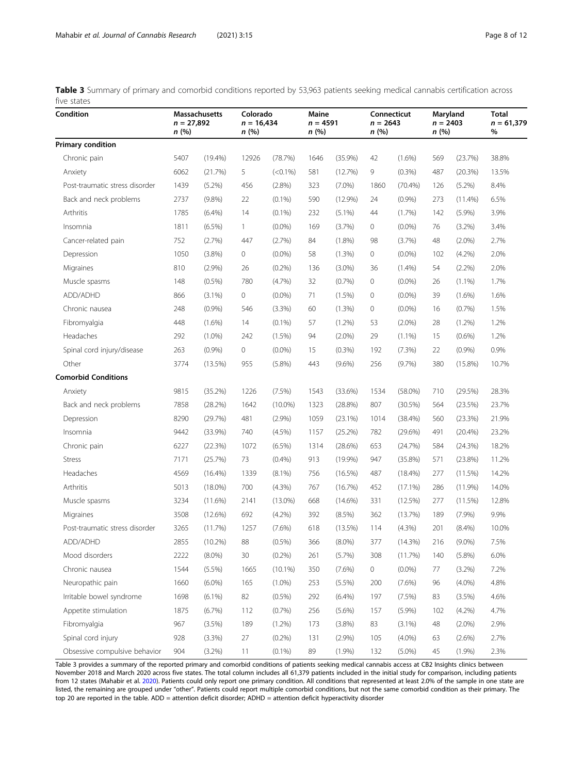<span id="page-7-0"></span>

| Table 3 Summary of primary and comorbid conditions reported by 53,963 patients seeking medical cannabis certification across |  |  |  |  |  |  |
|------------------------------------------------------------------------------------------------------------------------------|--|--|--|--|--|--|
| five states                                                                                                                  |  |  |  |  |  |  |

| Condition                      | <b>Massachusetts</b><br>$n = 27,892$<br>n(%) |            | Colorado<br>$n = 16,434$<br>n(%) |            | Maine<br>$n = 4591$<br>n(%) |            | Connecticut<br>$n = 2643$<br>n (%) |            | Maryland<br>$n = 2403$<br>n(%) |            | <b>Total</b><br>$n = 61,379$<br>% |
|--------------------------------|----------------------------------------------|------------|----------------------------------|------------|-----------------------------|------------|------------------------------------|------------|--------------------------------|------------|-----------------------------------|
| <b>Primary condition</b>       |                                              |            |                                  |            |                             |            |                                    |            |                                |            |                                   |
| Chronic pain                   | 5407                                         | $(19.4\%)$ | 12926                            | (78.7%)    | 1646                        | (35.9%)    | 42                                 | $(1.6\%)$  | 569                            | (23.7%)    | 38.8%                             |
| Anxiety                        | 6062                                         | (21.7%)    | 5                                | $(<0.1\%)$ | 581                         | (12.7%)    | 9                                  | (0.3%)     | 487                            | (20.3%)    | 13.5%                             |
| Post-traumatic stress disorder | 1439                                         | (5.2%)     | 456                              | $(2.8\%)$  | 323                         | $(7.0\%)$  | 1860                               | (70.4%)    | 126                            | $(5.2\%)$  | 8.4%                              |
| Back and neck problems         | 2737                                         | $(9.8\%)$  | 22                               | $(0.1\%)$  | 590                         | (12.9%)    | 24                                 | (0.9%      | 273                            | $(11.4\%)$ | 6.5%                              |
| Arthritis                      | 1785                                         | $(6.4\%)$  | 14                               | $(0.1\%)$  | 232                         | $(5.1\%)$  | 44                                 | (1.7%)     | 142                            | (5.9%)     | 3.9%                              |
| Insomnia                       | 1811                                         | $(6.5\%)$  | $\mathbf{1}$                     | $(0.0\%)$  | 169                         | (3.7%)     | 0                                  | $(0.0\%)$  | 76                             | $(3.2\%)$  | 3.4%                              |
| Cancer-related pain            | 752                                          | (2.7%)     | 447                              | (2.7%)     | 84                          | $(1.8\%)$  | 98                                 | (3.7%)     | 48                             | $(2.0\%)$  | 2.7%                              |
| Depression                     | 1050                                         | (3.8%)     | 0                                | $(0.0\%)$  | 58                          | (1.3%)     | 0                                  | $(0.0\%)$  | 102                            | $(4.2\%)$  | 2.0%                              |
| Migraines                      | 810                                          | $(2.9\%)$  | 26                               | $(0.2\%)$  | 136                         | $(3.0\%)$  | 36                                 | $(1.4\%)$  | 54                             | $(2.2\%)$  | 2.0%                              |
| Muscle spasms                  | 148                                          | $(0.5\%)$  | 780                              | (4.7%)     | 32                          | (0.7%      | 0                                  | $(0.0\%)$  | 26                             | $(1.1\%)$  | 1.7%                              |
| ADD/ADHD                       | 866                                          | $(3.1\%)$  | 0                                | $(0.0\%)$  | 71                          | (1.5%)     | 0                                  | $(0.0\%)$  | 39                             | $(1.6\%)$  | 1.6%                              |
| Chronic nausea                 | 248                                          | (0.9%      | 546                              | (3.3%)     | 60                          | (1.3%)     | 0                                  | $(0.0\%)$  | 16                             | (0.7%      | 1.5%                              |
| Fibromyalgia                   | 448                                          | $(1.6\%)$  | 14                               | $(0.1\%)$  | 57                          | $(1.2\%)$  | 53                                 | $(2.0\%)$  | 28                             | $(1.2\%)$  | 1.2%                              |
| Headaches                      | 292                                          | $(1.0\%)$  | 242                              | (1.5%)     | 94                          | $(2.0\%)$  | 29                                 | $(1.1\%)$  | 15                             | $(0.6\%)$  | 1.2%                              |
| Spinal cord injury/disease     | 263                                          | (0.9%      | 0                                | $(0.0\%)$  | 15                          | $(0.3\%)$  | 192                                | (7.3%)     | 22                             | (0.9%      | 0.9%                              |
| Other                          | 3774                                         | $(13.5\%)$ | 955                              | $(5.8\%)$  | 443                         | $(9.6\%)$  | 256                                | (9.7%)     | 380                            | $(15.8\%)$ | 10.7%                             |
| <b>Comorbid Conditions</b>     |                                              |            |                                  |            |                             |            |                                    |            |                                |            |                                   |
| Anxiety                        | 9815                                         | (35.2%)    | 1226                             | $(7.5\%)$  | 1543                        | (33.6%)    | 1534                               | $(58.0\%)$ | 710                            | (29.5%)    | 28.3%                             |
| Back and neck problems         | 7858                                         | (28.2%)    | 1642                             | $(10.0\%)$ | 1323                        | (28.8%)    | 807                                | (30.5%)    | 564                            | (23.5%)    | 23.7%                             |
| Depression                     | 8290                                         | (29.7%)    | 481                              | (2.9%)     | 1059                        | $(23.1\%)$ | 1014                               | (38.4%)    | 560                            | (23.3%)    | 21.9%                             |
| Insomnia                       | 9442                                         | $(33.9\%)$ | 740                              | $(4.5\%)$  | 1157                        | (25.2%)    | 782                                | (29.6%)    | 491                            | $(20.4\%)$ | 23.2%                             |
| Chronic pain                   | 6227                                         | (22.3%)    | 1072                             | $(6.5\%)$  | 1314                        | (28.6%)    | 653                                | (24.7%)    | 584                            | (24.3%)    | 18.2%                             |
| <b>Stress</b>                  | 7171                                         | (25.7%)    | 73                               | (0.4% )    | 913                         | (19.9%)    | 947                                | $(35.8\%)$ | 571                            | (23.8%)    | 11.2%                             |
| Headaches                      | 4569                                         | $(16.4\%)$ | 1339                             | $(8.1\%)$  | 756                         | (16.5%)    | 487                                | $(18.4\%)$ | 277                            | (11.5%)    | 14.2%                             |
| Arthritis                      | 5013                                         | $(18.0\%)$ | 700                              | (4.3%)     | 767                         | (16.7%)    | 452                                | $(17.1\%)$ | 286                            | $(11.9\%)$ | 14.0%                             |
| Muscle spasms                  | 3234                                         | $(11.6\%)$ | 2141                             | $(13.0\%)$ | 668                         | $(14.6\%)$ | 331                                | (12.5%)    | 277                            | (11.5%)    | 12.8%                             |
| Migraines                      | 3508                                         | $(12.6\%)$ | 692                              | $(4.2\%)$  | 392                         | (8.5%)     | 362                                | (13.7%)    | 189                            | (7.9%)     | 9.9%                              |
| Post-traumatic stress disorder | 3265                                         | (11.7%)    | 1257                             | $(7.6\%)$  | 618                         | $(13.5\%)$ | 114                                | (4.3%)     | 201                            | (8.4%)     | 10.0%                             |
| ADD/ADHD                       | 2855                                         | $(10.2\%)$ | 88                               | $(0.5\%)$  | 366                         | $(8.0\%)$  | 377                                | (14.3%)    | 216                            | $(9.0\%)$  | 7.5%                              |
| Mood disorders                 | 2222                                         | $(8.0\%)$  | 30                               | (0.2%)     | 261                         | (5.7%)     | 308                                | (11.7%)    | 140                            | (5.8%)     | 6.0%                              |
| Chronic nausea                 | 1544                                         | (5.5%)     | 1665                             | $(10.1\%)$ | 350                         | (7.6%)     | 0                                  | $(0.0\%)$  | 77                             | (3.2%)     | 7.2%                              |
| Neuropathic pain               | 1660                                         | $(6.0\%)$  | 165                              | $(1.0\%)$  | 253                         | (5.5%)     | 200                                | $(7.6\%)$  | 96                             | $(4.0\%)$  | 4.8%                              |
| Irritable bowel syndrome       | 1698                                         | $(6.1\%)$  | 82                               | $(0.5\%)$  | 292                         | $(6.4\%)$  | 197                                | (7.5%)     | 83                             | (3.5%)     | 4.6%                              |
| Appetite stimulation           | 1875                                         | (6.7%)     | 112                              | (0.7%)     | 256                         | $(5.6\%)$  | 157                                | (5.9%)     | 102                            | (4.2%)     | 4.7%                              |
| Fibromyalgia                   | 967                                          | (3.5%)     | 189                              | (1.2%)     | 173                         | (3.8%)     | 83                                 | $(3.1\%)$  | 48                             | $(2.0\%)$  | 2.9%                              |
| Spinal cord injury             | 928                                          | (3.3%)     | 27                               | $(0.2\%)$  | 131                         | (2.9%)     | 105                                | $(4.0\%)$  | 63                             | $(2.6\%)$  | 2.7%                              |
| Obsessive compulsive behavior  | 904                                          | $(3.2\%)$  | 11                               | $(0.1\%)$  | 89                          | (1.9%)     | 132                                | $(5.0\%)$  | 45                             | (1.9%)     | 2.3%                              |

Table 3 provides a summary of the reported primary and comorbid conditions of patients seeking medical cannabis access at CB2 Insights clinics between November 2018 and March 2020 across five states. The total column includes all 61,379 patients included in the initial study for comparison, including patients from 12 states (Mahabir et al. [2020\)](#page-10-0). Patients could only report one primary condition. All conditions that represented at least 2.0% of the sample in one state are listed, the remaining are grouped under "other". Patients could report multiple comorbid conditions, but not the same comorbid condition as their primary. The top 20 are reported in the table. ADD = attention deficit disorder; ADHD = attention deficit hyperactivity disorder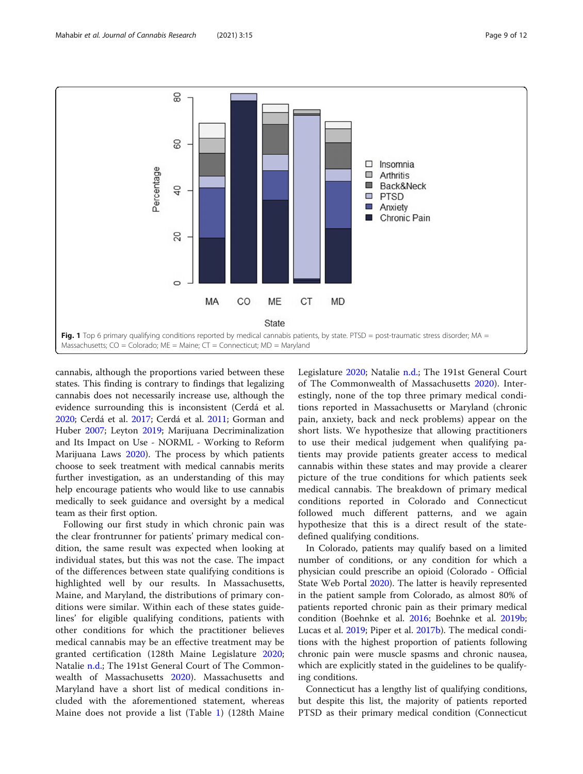<span id="page-8-0"></span>

cannabis, although the proportions varied between these states. This finding is contrary to findings that legalizing cannabis does not necessarily increase use, although the evidence surrounding this is inconsistent (Cerdá et al. [2020](#page-10-0); Cerdá et al. [2017](#page-10-0); Cerdá et al. [2011;](#page-10-0) Gorman and Huber [2007;](#page-10-0) Leyton [2019](#page-10-0); Marijuana Decriminalization and Its Impact on Use - NORML - Working to Reform Marijuana Laws [2020](#page-10-0)). The process by which patients choose to seek treatment with medical cannabis merits further investigation, as an understanding of this may help encourage patients who would like to use cannabis medically to seek guidance and oversight by a medical team as their first option.

Following our first study in which chronic pain was the clear frontrunner for patients' primary medical condition, the same result was expected when looking at individual states, but this was not the case. The impact of the differences between state qualifying conditions is highlighted well by our results. In Massachusetts, Maine, and Maryland, the distributions of primary conditions were similar. Within each of these states guidelines' for eligible qualifying conditions, patients with other conditions for which the practitioner believes medical cannabis may be an effective treatment may be granted certification (128th Maine Legislature [2020](#page-10-0); Natalie [n.d.](#page-10-0); The 191st General Court of The Commonwealth of Massachusetts [2020\)](#page-11-0). Massachusetts and Maryland have a short list of medical conditions included with the aforementioned statement, whereas Maine does not provide a list (Table [1\)](#page-2-0) (128th Maine Legislature [2020;](#page-10-0) Natalie [n.d.](#page-10-0); The 191st General Court of The Commonwealth of Massachusetts [2020\)](#page-11-0). Interestingly, none of the top three primary medical conditions reported in Massachusetts or Maryland (chronic pain, anxiety, back and neck problems) appear on the short lists. We hypothesize that allowing practitioners to use their medical judgement when qualifying patients may provide patients greater access to medical cannabis within these states and may provide a clearer picture of the true conditions for which patients seek medical cannabis. The breakdown of primary medical conditions reported in Colorado and Connecticut followed much different patterns, and we again hypothesize that this is a direct result of the statedefined qualifying conditions.

In Colorado, patients may qualify based on a limited number of conditions, or any condition for which a physician could prescribe an opioid (Colorado - Official State Web Portal [2020\)](#page-10-0). The latter is heavily represented in the patient sample from Colorado, as almost 80% of patients reported chronic pain as their primary medical condition (Boehnke et al. [2016](#page-10-0); Boehnke et al. [2019b](#page-10-0); Lucas et al. [2019](#page-10-0); Piper et al. [2017b](#page-11-0)). The medical conditions with the highest proportion of patients following chronic pain were muscle spasms and chronic nausea, which are explicitly stated in the guidelines to be qualifying conditions.

Connecticut has a lengthy list of qualifying conditions, but despite this list, the majority of patients reported PTSD as their primary medical condition (Connecticut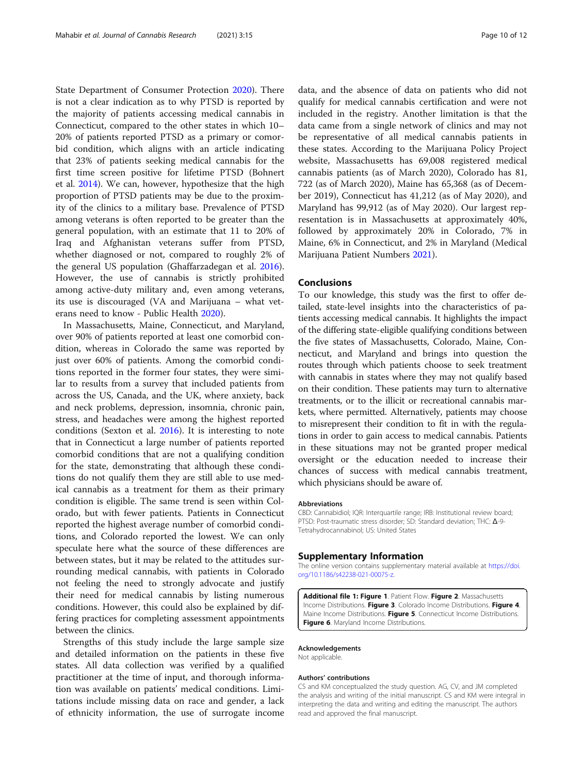<span id="page-9-0"></span>State Department of Consumer Protection [2020](#page-10-0)). There is not a clear indication as to why PTSD is reported by the majority of patients accessing medical cannabis in Connecticut, compared to the other states in which 10– 20% of patients reported PTSD as a primary or comorbid condition, which aligns with an article indicating that 23% of patients seeking medical cannabis for the first time screen positive for lifetime PTSD (Bohnert et al. [2014\)](#page-10-0). We can, however, hypothesize that the high proportion of PTSD patients may be due to the proximity of the clinics to a military base. Prevalence of PTSD among veterans is often reported to be greater than the general population, with an estimate that 11 to 20% of Iraq and Afghanistan veterans suffer from PTSD, whether diagnosed or not, compared to roughly 2% of the general US population (Ghaffarzadegan et al. [2016](#page-10-0)). However, the use of cannabis is strictly prohibited among active-duty military and, even among veterans, its use is discouraged (VA and Marijuana – what veterans need to know - Public Health [2020](#page-11-0)).

In Massachusetts, Maine, Connecticut, and Maryland, over 90% of patients reported at least one comorbid condition, whereas in Colorado the same was reported by just over 60% of patients. Among the comorbid conditions reported in the former four states, they were similar to results from a survey that included patients from across the US, Canada, and the UK, where anxiety, back and neck problems, depression, insomnia, chronic pain, stress, and headaches were among the highest reported conditions (Sexton et al. [2016\)](#page-11-0). It is interesting to note that in Connecticut a large number of patients reported comorbid conditions that are not a qualifying condition for the state, demonstrating that although these conditions do not qualify them they are still able to use medical cannabis as a treatment for them as their primary condition is eligible. The same trend is seen within Colorado, but with fewer patients. Patients in Connecticut reported the highest average number of comorbid conditions, and Colorado reported the lowest. We can only speculate here what the source of these differences are between states, but it may be related to the attitudes surrounding medical cannabis, with patients in Colorado not feeling the need to strongly advocate and justify their need for medical cannabis by listing numerous conditions. However, this could also be explained by differing practices for completing assessment appointments between the clinics.

Strengths of this study include the large sample size and detailed information on the patients in these five states. All data collection was verified by a qualified practitioner at the time of input, and thorough information was available on patients' medical conditions. Limitations include missing data on race and gender, a lack of ethnicity information, the use of surrogate income

data, and the absence of data on patients who did not qualify for medical cannabis certification and were not included in the registry. Another limitation is that the data came from a single network of clinics and may not be representative of all medical cannabis patients in these states. According to the Marijuana Policy Project website, Massachusetts has 69,008 registered medical cannabis patients (as of March 2020), Colorado has 81, 722 (as of March 2020), Maine has 65,368 (as of December 2019), Connecticut has 41,212 (as of May 2020), and Maryland has 99,912 (as of May 2020). Our largest representation is in Massachusetts at approximately 40%, followed by approximately 20% in Colorado, 7% in Maine, 6% in Connecticut, and 2% in Maryland (Medical Marijuana Patient Numbers [2021](#page-10-0)).

# Conclusions

To our knowledge, this study was the first to offer detailed, state-level insights into the characteristics of patients accessing medical cannabis. It highlights the impact of the differing state-eligible qualifying conditions between the five states of Massachusetts, Colorado, Maine, Connecticut, and Maryland and brings into question the routes through which patients choose to seek treatment with cannabis in states where they may not qualify based on their condition. These patients may turn to alternative treatments, or to the illicit or recreational cannabis markets, where permitted. Alternatively, patients may choose to misrepresent their condition to fit in with the regulations in order to gain access to medical cannabis. Patients in these situations may not be granted proper medical oversight or the education needed to increase their chances of success with medical cannabis treatment, which physicians should be aware of.

#### Abbreviations

CBD: Cannabidiol; IQR: Interquartile range; IRB: Institutional review board; PTSD: Post-traumatic stress disorder; SD: Standard deviation; THC: Δ-9- Tetrahydrocannabinol; US: United States

#### Supplementary Information

The online version contains supplementary material available at [https://doi.](https://doi.org/10.1186/s42238-021-00075-z) [org/10.1186/s42238-021-00075-z](https://doi.org/10.1186/s42238-021-00075-z).

Additional file 1: Figure 1. Patient Flow. Figure 2. Massachusetts Income Distributions. Figure 3. Colorado Income Distributions. Figure 4. Maine Income Distributions. Figure 5. Connecticut Income Distributions. **Figure 6.** Maryland Income Distributions.

#### Acknowledgements

Not applicable.

#### Authors' contributions

CS and KM conceptualized the study question. AG, CV, and JM completed the analysis and writing of the initial manuscript. CS and KM were integral in interpreting the data and writing and editing the manuscript. The authors read and approved the final manuscript.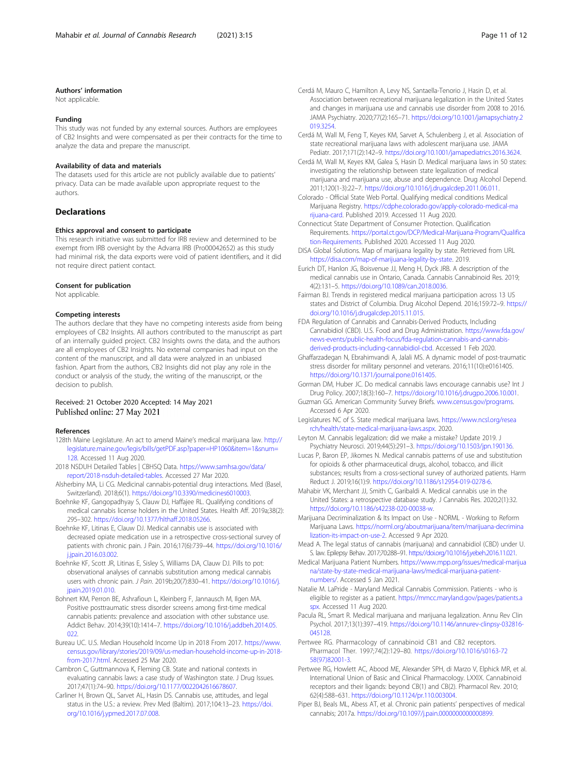## <span id="page-10-0"></span>Authors' information

Not applicable.

#### Funding

This study was not funded by any external sources. Authors are employees of CB2 Insights and were compensated as per their contracts for the time to analyze the data and prepare the manuscript.

#### Availability of data and materials

The datasets used for this article are not publicly available due to patients' privacy. Data can be made available upon appropriate request to the authors.

# Declarations

#### Ethics approval and consent to participate

This research initiative was submitted for IRB review and determined to be exempt from IRB oversight by the Advarra IRB (Pro00042652) as this study had minimal risk, the data exports were void of patient identifiers, and it did not require direct patient contact.

#### Consent for publication

Not applicable.

## Competing interests

The authors declare that they have no competing interests aside from being employees of CB2 Insights. All authors contributed to the manuscript as part of an internally guided project. CB2 Insights owns the data, and the authors are all employees of CB2 Insights. No external companies had input on the content of the manuscript, and all data were analyzed in an unbiased fashion. Apart from the authors, CB2 Insights did not play any role in the conduct or analysis of the study, the writing of the manuscript, or the decision to publish.

# Received: 21 October 2020 Accepted: 14 May 2021 Published online: 27 May 2021

#### References

- 128th Maine Legislature. An act to amend Maine's medical marijuana law. [http://](http://legislature.maine.gov/legis/bills/getPDF.asp?paper=HP1060&item=1&snum=128) [legislature.maine.gov/legis/bills/getPDF.asp?paper=HP1060&item=1&snum=](http://legislature.maine.gov/legis/bills/getPDF.asp?paper=HP1060&item=1&snum=128) [128.](http://legislature.maine.gov/legis/bills/getPDF.asp?paper=HP1060&item=1&snum=128) Accessed 11 Aug 2020.
- 2018 NSDUH Detailed Tables | CBHSQ Data. [https://www.samhsa.gov/data/](https://www.samhsa.gov/data/report/2018-nsduh-detailed-tables) [report/2018-nsduh-detailed-tables.](https://www.samhsa.gov/data/report/2018-nsduh-detailed-tables) Accessed 27 Mar 2020.
- Alsherbiny MA, Li CG. Medicinal cannabis-potential drug interactions. Med (Basel, Switzerland). 2018;6(1). <https://doi.org/10.3390/medicines6010003>.
- Boehnke KF, Gangopadhyay S, Clauw DJ, Haffajee RL. Qualifying conditions of medical cannabis license holders in the United States. Health Aff. 2019a;38(2): 295–302. <https://doi.org/10.1377/hlthaff.2018.05266>.
- Boehnke KF, Litinas E, Clauw DJ. Medical cannabis use is associated with decreased opiate medication use in a retrospective cross-sectional survey of patients with chronic pain. J Pain. 2016;17(6):739–44. [https://doi.org/10.1016/](https://doi.org/10.1016/j.jpain.2016.03.002) [j.jpain.2016.03.002](https://doi.org/10.1016/j.jpain.2016.03.002).
- Boehnke KF, Scott JR, Litinas E, Sisley S, Williams DA, Clauw DJ. Pills to pot: observational analyses of cannabis substitution among medical cannabis users with chronic pain. J Pain. 2019b;20(7):830–41. [https://doi.org/10.1016/j.](https://doi.org/10.1016/j.jpain.2019.01.010) ipain.2019.01.010.
- Bohnert KM, Perron BE, Ashrafioun L, Kleinberg F, Jannausch M, Ilgen MA. Positive posttraumatic stress disorder screens among first-time medical cannabis patients: prevalence and association with other substance use. Addict Behav. 2014;39(10):1414–7. [https://doi.org/10.1016/j.addbeh.2014.05.](https://doi.org/10.1016/j.addbeh.2014.05.022) [022.](https://doi.org/10.1016/j.addbeh.2014.05.022)
- Bureau UC. U.S. Median Household Income Up in 2018 From 2017. [https://www.](https://www.census.gov/library/stories/2019/09/us-median-household-income-up-in-2018-from-2017.html) [census.gov/library/stories/2019/09/us-median-household-income-up-in-2018](https://www.census.gov/library/stories/2019/09/us-median-household-income-up-in-2018-from-2017.html) [from-2017.html](https://www.census.gov/library/stories/2019/09/us-median-household-income-up-in-2018-from-2017.html). Accessed 25 Mar 2020.
- Cambron C, Guttmannova K, Fleming CB. State and national contexts in evaluating cannabis laws: a case study of Washington state. J Drug Issues. 2017;47(1):74–90. <https://doi.org/10.1177/0022042616678607>.
- Carliner H, Brown QL, Sarvet AL, Hasin DS. Cannabis use, attitudes, and legal status in the U.S.: a review. Prev Med (Baltim). 2017;104:13–23. [https://doi.](https://doi.org/10.1016/j.ypmed.2017.07.008) [org/10.1016/j.ypmed.2017.07.008.](https://doi.org/10.1016/j.ypmed.2017.07.008)
- Cerdá M, Mauro C, Hamilton A, Levy NS, Santaella-Tenorio J, Hasin D, et al. Association between recreational marijuana legalization in the United States and changes in marijuana use and cannabis use disorder from 2008 to 2016. JAMA Psychiatry. 2020;77(2):165–71. [https://doi.org/10.1001/jamapsychiatry.2](https://doi.org/10.1001/jamapsychiatry.2019.3254) [019.3254.](https://doi.org/10.1001/jamapsychiatry.2019.3254)
- Cerdá M, Wall M, Feng T, Keyes KM, Sarvet A, Schulenberg J, et al. Association of state recreational marijuana laws with adolescent marijuana use. JAMA Pediatr. 2017;171(2):142–9. <https://doi.org/10.1001/jamapediatrics.2016.3624>.
- Cerdá M, Wall M, Keyes KM, Galea S, Hasin D. Medical marijuana laws in 50 states: investigating the relationship between state legalization of medical marijuana and marijuana use, abuse and dependence. Drug Alcohol Depend. 2011;120(1-3):22–7. <https://doi.org/10.1016/j.drugalcdep.2011.06.011>.
- Colorado Official State Web Portal. Qualifying medical conditions Medical Marijuana Registry. [https://cdphe.colorado.gov/apply-colorado-medical-ma](https://cdphe.colorado.gov/apply-colorado-medical-marijuana-card) [rijuana-card.](https://cdphe.colorado.gov/apply-colorado-medical-marijuana-card) Published 2019. Accessed 11 Aug 2020.
- Connecticut State Department of Consumer Protection. Qualification Requirements. [https://portal.ct.gov/DCP/Medical-Marijuana-Program/Qualifica](https://portal.ct.gov/DCP/Medical-Marijuana-Program/Qualification-Requirements) [tion-Requirements](https://portal.ct.gov/DCP/Medical-Marijuana-Program/Qualification-Requirements). Published 2020. Accessed 11 Aug 2020.
- DISA Global Solutions. Map of marijuana legality by state. Retrieved from URL <https://disa.com/map-of-marijuana-legality-by-state>. 2019.
- Eurich DT, Hanlon JG, Boisvenue JJ, Meng H, Dyck JRB. A description of the medical cannabis use in Ontario, Canada. Cannabis Cannabinoid Res. 2019; 4(2):131–5. [https://doi.org/10.1089/can.2018.0036.](https://doi.org/10.1089/can.2018.0036)
- Fairman BJ. Trends in registered medical marijuana participation across 13 US states and District of Columbia. Drug Alcohol Depend. 2016;159:72–9. [https://](https://doi.org/10.1016/j.drugalcdep.2015.11.015) [doi.org/10.1016/j.drugalcdep.2015.11.015.](https://doi.org/10.1016/j.drugalcdep.2015.11.015)
- FDA Regulation of Cannabis and Cannabis-Derived Products, Including Cannabidiol (CBD). U.S. Food and Drug Administration. [https://www.fda.gov/](https://www.fda.gov/news-events/public-health-focus/fda-regulation-cannabis-and-cannabis-derived-products-including-cannabidiol-cbd) [news-events/public-health-focus/fda-regulation-cannabis-and-cannabis](https://www.fda.gov/news-events/public-health-focus/fda-regulation-cannabis-and-cannabis-derived-products-including-cannabidiol-cbd)[derived-products-including-cannabidiol-cbd.](https://www.fda.gov/news-events/public-health-focus/fda-regulation-cannabis-and-cannabis-derived-products-including-cannabidiol-cbd) Accessed 1 Feb 2020.
- Ghaffarzadegan N, Ebrahimvandi A, Jalali MS. A dynamic model of post-traumatic stress disorder for military personnel and veterans. 2016;11(10):e0161405. [https://doi.org/10.1371/journal.pone.0161405.](https://doi.org/10.1371/journal.pone.0161405)
- Gorman DM, Huber JC. Do medical cannabis laws encourage cannabis use? Int J Drug Policy. 2007;18(3):160–7. [https://doi.org/10.1016/j.drugpo.2006.10.001.](https://doi.org/10.1016/j.drugpo.2006.10.001)
- Guzman GG. American Community Survey Briefs. [www.census.gov/programs](http://www.census.gov/programs). Accessed 6 Apr 2020.
- Legislatures NC of S. State medical marijuana laws. [https://www.ncsl.org/resea](https://www.ncsl.org/research/health/state-medical-marijuana-laws.aspx) [rch/health/state-medical-marijuana-laws.aspx.](https://www.ncsl.org/research/health/state-medical-marijuana-laws.aspx) 2020.
- Leyton M. Cannabis legalization: did we make a mistake? Update 2019. J Psychiatry Neurosci. 2019;44(5):291–3. [https://doi.org/10.1503/jpn.190136.](https://doi.org/10.1503/jpn.190136)
- Lucas P, Baron EP, Jikomes N. Medical cannabis patterns of use and substitution for opioids & other pharmaceutical drugs, alcohol, tobacco, and illicit substances; results from a cross-sectional survey of authorized patients. Harm Reduct J. 2019;16(1):9. [https://doi.org/10.1186/s12954-019-0278-6.](https://doi.org/10.1186/s12954-019-0278-6)
- Mahabir VK, Merchant JJ, Smith C, Garibaldi A. Medical cannabis use in the United States: a retrospective database study. J Cannabis Res. 2020;2(1):32. <https://doi.org/10.1186/s42238-020-00038-w>.
- Marijuana Decriminalization & Its Impact on Use NORML Working to Reform Marijuana Laws. [https://norml.org/aboutmarijuana/item/marijuana-decrimina](https://norml.org/aboutmarijuana/item/marijuana-decriminalization-its-impact-on-use-2) [lization-its-impact-on-use-2.](https://norml.org/aboutmarijuana/item/marijuana-decriminalization-its-impact-on-use-2) Accessed 9 Apr 2020.
- Mead A. The legal status of cannabis (marijuana) and cannabidiol (CBD) under U. S. law. Epilepsy Behav. 2017;70:288–91. [https://doi.org/10.1016/j.yebeh.2016.11.021.](https://doi.org/10.1016/j.yebeh.2016.11.021)
- Medical Marijuana Patient Numbers. [https://www.mpp.org/issues/medical-marijua](https://www.mpp.org/issues/medical-marijuana/state-by-state-medical-marijuana-laws/medical-marijuana-patient-numbers/) [na/state-by-state-medical-marijuana-laws/medical-marijuana-patient](https://www.mpp.org/issues/medical-marijuana/state-by-state-medical-marijuana-laws/medical-marijuana-patient-numbers/)[numbers/](https://www.mpp.org/issues/medical-marijuana/state-by-state-medical-marijuana-laws/medical-marijuana-patient-numbers/). Accessed 5 Jan 2021.
- Natalie M. LaPride Maryland Medical Cannabis Commission. Patients who is eligible to register as a patient. [https://mmcc.maryland.gov/pages/patients.a](https://mmcc.maryland.gov/pages/patients.aspx) [spx](https://mmcc.maryland.gov/pages/patients.aspx). Accessed 11 Aug 2020.
- Pacula RL, Smart R. Medical marijuana and marijuana legalization. Annu Rev Clin Psychol. 2017;13(1):397–419. [https://doi.org/10.1146/annurev-clinpsy-032816-](https://doi.org/10.1146/annurev-clinpsy-032816-045128) [045128](https://doi.org/10.1146/annurev-clinpsy-032816-045128).
- Pertwee RG. Pharmacology of cannabinoid CB1 and CB2 receptors. Pharmacol Ther. 1997;74(2):129–80. [https://doi.org/10.1016/s0163-72](https://doi.org/10.1016/s0163-7258(97)82001-3) [58\(97\)82001-3.](https://doi.org/10.1016/s0163-7258(97)82001-3)
- Pertwee RG, Howlett AC, Abood ME, Alexander SPH, di Marzo V, Elphick MR, et al. International Union of Basic and Clinical Pharmacology. LXXIX. Cannabinoid receptors and their ligands: beyond CB(1) and CB(2). Pharmacol Rev. 2010; 62(4):588–631. <https://doi.org/10.1124/pr.110.003004>.
- Piper BJ, Beals ML, Abess AT, et al. Chronic pain patients' perspectives of medical cannabis; 2017a. <https://doi.org/10.1097/j.pain.0000000000000899>.